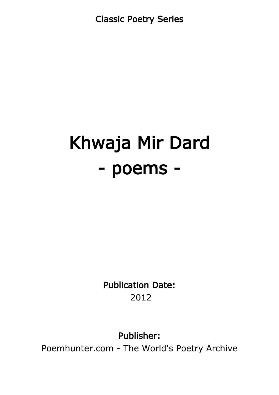Classic Poetry Series

# Khwaja Mir Dard - poems -

Publication Date: 2012

Publisher:

Poemhunter.com - The World's Poetry Archive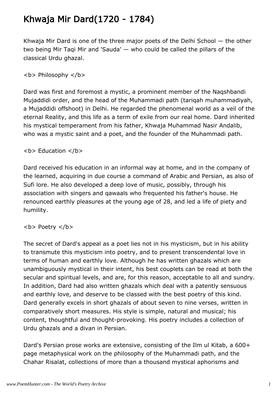#### Khwaja Mir Dard(1720 - 1784)

Khwaja Mir Dard is one of the three major poets of the Delhi School — the other two being Mir Taqi Mir and 'Sauda' — who could be called the pillars of the classical Urdu ghazal.

**<b> Philosophy </b>** 

Dard was first and foremost a mystic, a prominent member of the Naqshbandi Mujaddidi order, and the head of the Muhammadi path (tariqah muhammadiyah, a Mujaddidi offshoot) in Delhi. He regarded the phenomenal world as a veil of the eternal Reality, and this life as a term of exile from our real home. Dard inherited his mystical temperament from his father, Khwaja Muhammad Nasir Andalib, who was a mystic saint and a poet, and the founder of the Muhammadi path.

**<b> Education </b>** 

Dard received his education in an informal way at home, and in the company of the learned, acquiring in due course a command of Arabic and Persian, as also of Sufi lore. He also developed a deep love of music, possibly, through his association with singers and qawaals who frequented his father's house. He renounced earthly pleasures at the young age of 28, and led a life of piety and humility.

 $$ 

The secret of Dard's appeal as a poet lies not in his mysticism, but in his ability to transmute this mysticism into poetry, and to present transcendental love in terms of human and earthly love. Although he has written ghazals which are unambiguously mystical in their intent, his best couplets can be read at both the secular and spiritual levels, and are, for this reason, acceptable to all and sundry. In addition, Dard had also written ghazals which deal with a patently sensuous and earthly love, and deserve to be classed with the best poetry of this kind. Dard generally excels in short ghazals of about seven to nine verses, written in comparatively short measures. His style is simple, natural and musical; his content, thoughtful and thought-provoking. His poetry includes a collection of Urdu ghazals and a divan in Persian.

Dard's Persian prose works are extensive, consisting of the Ilm ul Kitab, a 600+ page metaphysical work on the philosophy of the Muhammadi path, and the Chahar Risalat, collections of more than a thousand mystical aphorisms and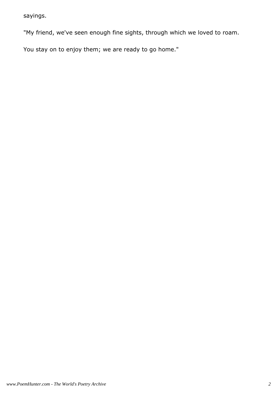sayings.

"My friend, we've seen enough fine sights, through which we loved to roam.

You stay on to enjoy them; we are ready to go home."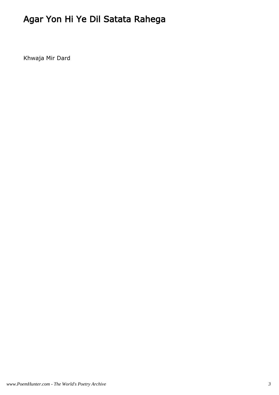# Agar Yon Hi Ye Dil Satata Rahega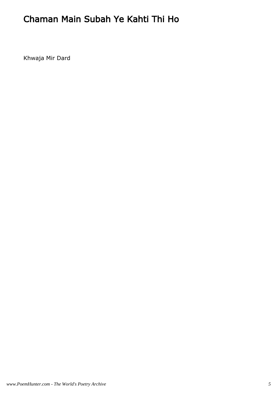#### Chaman Main Subah Ye Kahti Thi Ho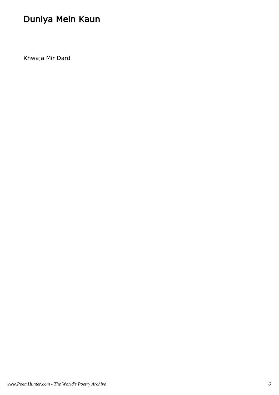# Duniya Mein Kaun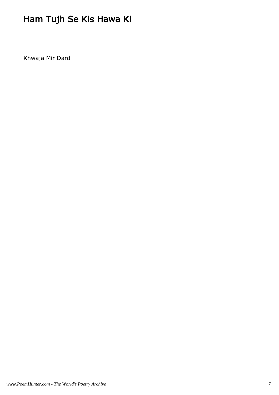# Ham Tujh Se Kis Hawa Ki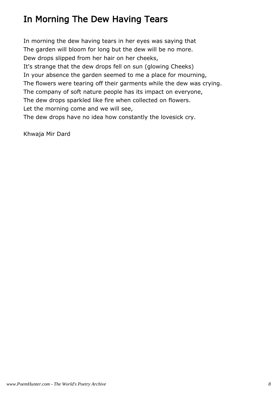#### In Morning The Dew Having Tears

In morning the dew having tears in her eyes was saying that The garden will bloom for long but the dew will be no more. Dew drops slipped from her hair on her cheeks, It's strange that the dew drops fell on sun (glowing Cheeks) In your absence the garden seemed to me a place for mourning, The flowers were tearing off their garments while the dew was crying. The company of soft nature people has its impact on everyone, The dew drops sparkled like fire when collected on flowers. Let the morning come and we will see, The dew drops have no idea how constantly the lovesick cry.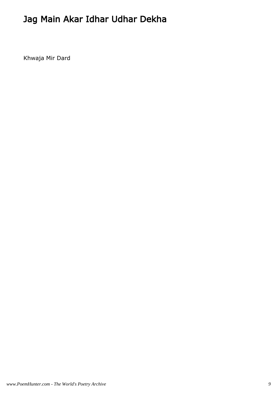## Jag Main Akar Idhar Udhar Dekha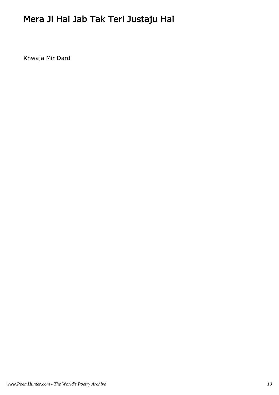# Mera Ji Hai Jab Tak Teri Justaju Hai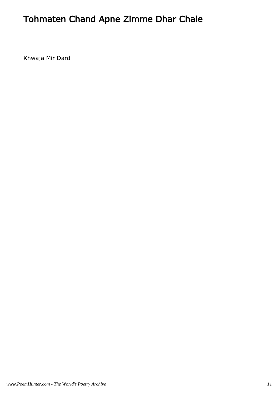## Tohmaten Chand Apne Zimme Dhar Chale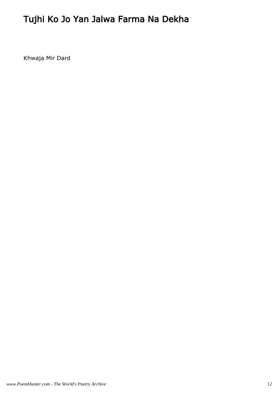## Tujhi Ko Jo Yan Jalwa Farma Na Dekha